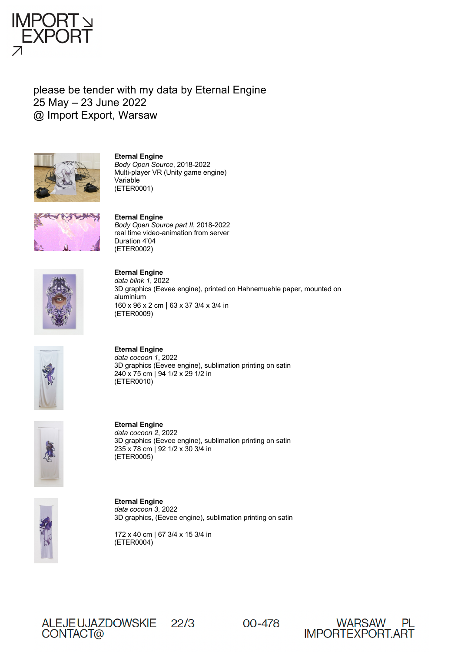

please be tender with my data by Eternal Engine 25 May – 23 June 2022 @ Import Export, Warsaw



**Eternal Engine** *Body Open Source*, 2018-2022 Multi-player VR (Unity game engine) Variable (ETER0001)



**Eternal Engine** *Body Open Source part II*, 2018-2022 real time video-animation from server Duration 4'04 (ETER0002)



**Eternal Engine** *data blink 1*, 2022 3D graphics (Eevee engine), printed on Hahnemuehle paper, mounted on aluminium 160 x 96 x 2 cm | 63 x 37 3/4 x 3/4 in (ETER0009)



**Eternal Engine** *data cocoon 1*, 2022 3D graphics (Eevee engine), sublimation printing on satin 240 x 75 cm | 94 1/2 x 29 1/2 in (ETER0010)



**Eternal Engine** *data cocoon 2*, 2022 3D graphics (Eevee engine), sublimation printing on satin 235 x 78 cm | 92 1/2 x 30 3/4 in (ETER0005)



**Eternal Engine** *data cocoon 3*, 2022 3D graphics, (Eevee engine), sublimation printing on satin

172 x 40 cm | 67 3/4 x 15 3/4 in (ETER0004)



00-478